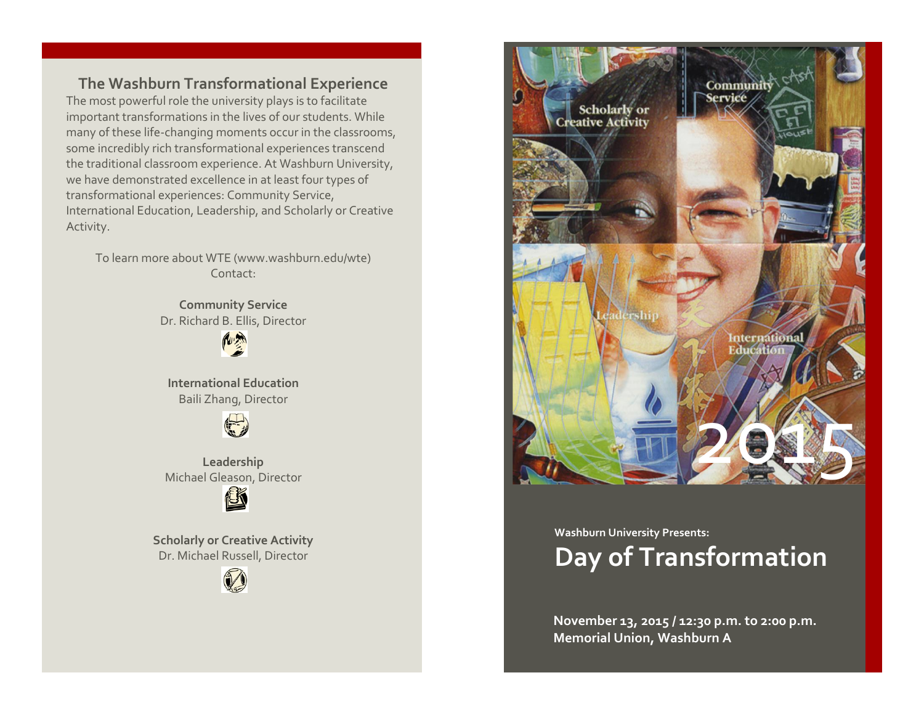**The Washburn Transformational Experience** The most powerful role the university plays is to facilitate important transformations in the lives of our students. While many of these life-changing moments occur in the classrooms, some incredibly rich transformational experiences transcend the traditional classroom experience. At Washburn University, we have demonstrated excellence in at least four types of transformational experiences: Community Service, International Education, Leadership, and Scholarly or Creative Activity.

To learn more about WTE (www.washburn.edu/wte) Contact:

> **Community Service** Dr. Richard B. Ellis, Director

> > **RUE**

**International Education** Baili Zhang, Director



**Leadership** Michael Gleason, Director



**Scholarly or Creative Activity** Dr. Michael Russell, Director





## **Washburn University Presents: Day of Transformation**

**November 13, 2015 / 12:30 p.m. to 2:00 p.m. Memorial Union, Washburn A**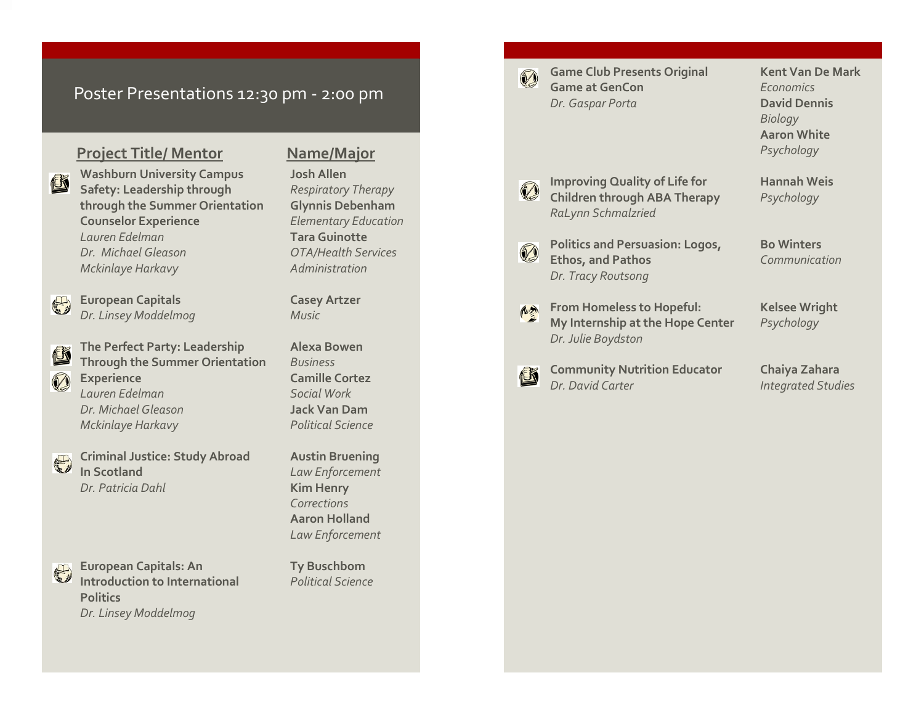## Poster Presentations 12:30 pm - 2:00 pm

## **Project Title/ Mentor Name/Major**

**Washburn University Campus Josh Allen Safety: Leadership through** *Respiratory Therapy* **through the Summer Orientation Glynnis Debenham Counselor Experience** *Elementary Education Lauren Edelman* **Tara Guinotte** *Dr. Michael Gleason OTA/Health Services Mckinlaye Harkavy Administration* 



K

D

 $\bigoplus$ 

Ľ

**European Capitals Casey Artzer** *Dr. Linsey Moddelmog Music*

**The Perfect Party: Leadership Alexa Bowen Through the Summer Orientation** *Business* **Experience Camille Cortez** *Lauren Edelman Social Work Dr. Michael Gleason* **Jack Van Dam** *Mckinlaye Harkavy Political Science*

**Criminal Justice: Study Abroad Austin Bruening In Scotland** *Law Enforcement* **Dr. Patricia Dahl Kim Henry** 

G

**European Capitals: An Ty Buschbom Introduction to International** *Political Science* **Politics** *Dr. Linsey Moddelmog*

*Corrections* **Aaron Holland** *Law Enforcement*

D

**Game Club Presents Original Kent Van De Mark Game at GenCon** *Economics* **Dr. Gaspar Porta David Dennis** 

*Biology* **Aaron White** *Psychology*

Ø

心外

<u>is</u>

**Improving Quality of Life for <b>Hannah Weis Children through ABA Therapy** *Psychology RaLynn Schmalzried*

**Politics and Persuasion: Logos, Bo Winters** Ø **Ethos, and Pathos** *Communication Dr. Tracy Routsong*

**From Homeless to Hopeful: Kelsee Wright My Internship at the Hope Center** *Psychology Dr. Julie Boydston*

**Community Nutrition Educator Chaiya Zahara**<br> *Dr David Carter Integrated Stud* 

**Integrated Studies**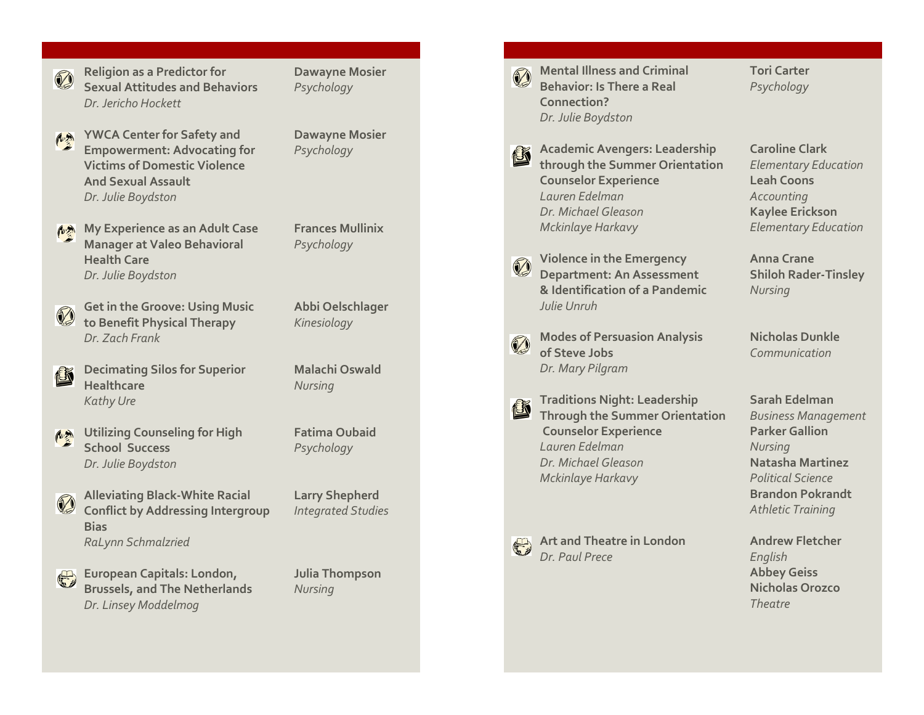

**Religion as a Predictor for Dawayne Mosier Sexual Attitudes and Behaviors** *Psychology Dr. Jericho Hockett*

**YWCA Center for Safety and Dawayne Mosier** 心然 **Empowerment: Advocating for** *Psychology* **Victims of Domestic Violence And Sexual Assault** *Dr. Julie Boydston*

**My Experience as an Adult Case Frances Mullinix Manager at Valeo Behavioral** *Psychology* **Health Care**

**Get in the Groove: Using Music Abbi Oelschlager** Ø **to Benefit Physical Therapy** *Kinesiology Dr. Zach Frank*

*Dr. Julie Boydston*

- **Decimating Silos for Superior Malachi Oswald** 也 **Healthcare** *Nursing Kathy Ure*
- **Utilizing Counseling for High Fatima Oubaid** 心热 **School Success** *Psychology Dr. Julie Boydston*
	- **Alleviating Black Conflict by Addressing Intergroup** *Integrated Studies* **Bias** *RaLynn Schmalzried*
	- **European Capitals: London, Julia Thompson Brussels, and The Netherlands** *Nursing Dr. Linsey Moddelmog*

**Larry Shepherd** 



**Mental Illness and Criminal <b>Tori** Carter **Behavior: Is There a Real** *Psychology* **Connection?** *Dr. Julie Boydston*

**Academic Avengers: Leadership Caroline Clark through the Summer Orientation** *Elementary Education* **Counselor Experience Leah Coons** *Lauren Edelman Accounting Dr. Michael Gleason* **Kaylee Erickson** *Mckinlaye Harkavy Elementary Education*

**Violence in the Emergency Anna Crane Department: An Assessment & Identification of a Pandemic** *Nursing Julie Unruh*

**Modes of Persuasion Analysis Nicholas Dunkle** J **of Steve Jobs** *Communication Dr. Mary Pilgra m*

**Traditions Night: Leadership Sarah Edelman** ü **Through the Summer Orientation** *Business Management* **Counselor Experience Parker Gallion** *Lauren Edelman Nursing Dr. Michael Gleason* **Natasha Martinez** *Mckinlaye Harkavy Political Science*



**Art and Theatre in London Andrew Fletcher** *Dr. Paul Prece English*

**Shiloh Rader-Tinsley** 

**Brandon Pokrandt** *Athletic Training*

**Abbey Geiss Nicholas Orozco** *Theatre*